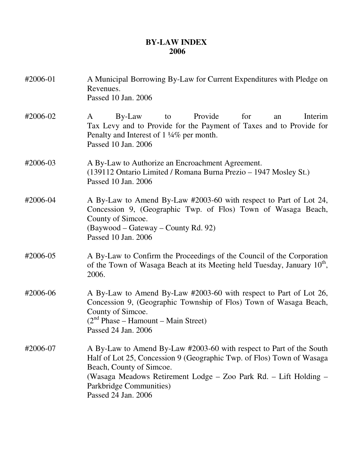## **BY-LAW INDEX 2006**

| #2006-01 | A Municipal Borrowing By-Law for Current Expenditures with Pledge on<br>Revenues.<br>Passed 10 Jan. 2006                                                                                                                                                                                       |
|----------|------------------------------------------------------------------------------------------------------------------------------------------------------------------------------------------------------------------------------------------------------------------------------------------------|
| #2006-02 | Provide<br>By-Law<br>for<br>Interim<br>A<br>to<br>an<br>Tax Levy and to Provide for the Payment of Taxes and to Provide for<br>Penalty and Interest of 1 1/4% per month.<br>Passed 10 Jan. 2006                                                                                                |
| #2006-03 | A By-Law to Authorize an Encroachment Agreement.<br>(139112 Ontario Limited / Romana Burna Prezio – 1947 Mosley St.)<br>Passed 10 Jan. 2006                                                                                                                                                    |
| #2006-04 | A By-Law to Amend By-Law #2003-60 with respect to Part of Lot 24,<br>Concession 9, (Geographic Twp. of Flos) Town of Wasaga Beach,<br>County of Simcoe.<br>(Baywood – Gateway – County Rd. 92)<br>Passed 10 Jan. 2006                                                                          |
| #2006-05 | A By-Law to Confirm the Proceedings of the Council of the Corporation<br>of the Town of Wasaga Beach at its Meeting held Tuesday, January 10 <sup>th</sup> ,<br>2006.                                                                                                                          |
| #2006-06 | A By-Law to Amend By-Law #2003-60 with respect to Part of Lot 26,<br>Concession 9, (Geographic Township of Flos) Town of Wasaga Beach,<br>County of Simcoe.<br>$(2nd Phase - Hamount - Main Street)$<br>Passed 24 Jan. 2006                                                                    |
| #2006-07 | A By-Law to Amend By-Law #2003-60 with respect to Part of the South<br>Half of Lot 25, Concession 9 (Geographic Twp. of Flos) Town of Wasaga<br>Beach, County of Simcoe.<br>(Wasaga Meadows Retirement Lodge - Zoo Park Rd. - Lift Holding -<br>Parkbridge Communities)<br>Passed 24 Jan. 2006 |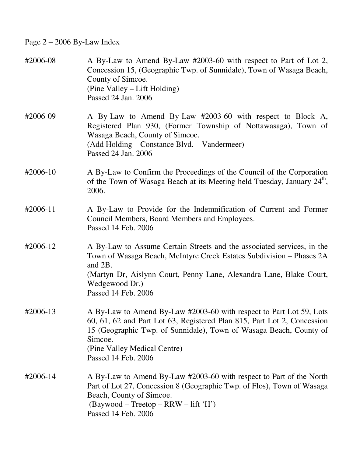Page 2 – 2006 By-Law Index

| #2006-08 | A By-Law to Amend By-Law #2003-60 with respect to Part of Lot 2,<br>Concession 15, (Geographic Twp. of Sunnidale), Town of Wasaga Beach,<br>County of Simcoe.<br>(Pine Valley – Lift Holding)<br>Passed 24 Jan. 2006                                                                   |
|----------|----------------------------------------------------------------------------------------------------------------------------------------------------------------------------------------------------------------------------------------------------------------------------------------|
| #2006-09 | A By-Law to Amend By-Law #2003-60 with respect to Block A,<br>Registered Plan 930, (Former Township of Nottawasaga), Town of<br>Wasaga Beach, County of Simcoe.<br>(Add Holding – Constance Blvd. – Vandermeer)<br>Passed 24 Jan. 2006                                                 |
| #2006-10 | A By-Law to Confirm the Proceedings of the Council of the Corporation<br>of the Town of Wasaga Beach at its Meeting held Tuesday, January 24 <sup>th</sup> ,<br>2006.                                                                                                                  |
| #2006-11 | A By-Law to Provide for the Indemnification of Current and Former<br>Council Members, Board Members and Employees.<br>Passed 14 Feb. 2006                                                                                                                                              |
| #2006-12 | A By-Law to Assume Certain Streets and the associated services, in the<br>Town of Wasaga Beach, McIntyre Creek Estates Subdivision – Phases 2A<br>and 2B.<br>(Martyn Dr, Aislynn Court, Penny Lane, Alexandra Lane, Blake Court,<br>Wedgewood Dr.)<br>Passed 14 Feb. 2006              |
| #2006-13 | A By-Law to Amend By-Law #2003-60 with respect to Part Lot 59, Lots<br>60, 61, 62 and Part Lot 63, Registered Plan 815, Part Lot 2, Concession<br>15 (Geographic Twp. of Sunnidale), Town of Wasaga Beach, County of<br>Simcoe.<br>(Pine Valley Medical Centre)<br>Passed 14 Feb. 2006 |
| #2006-14 | A By-Law to Amend By-Law #2003-60 with respect to Part of the North<br>Part of Lot 27, Concession 8 (Geographic Twp. of Flos), Town of Wasaga<br>Beach, County of Simcoe.<br>$(Baywood - Treetop - RRW - lift 'H')$<br>Passed 14 Feb. 2006                                             |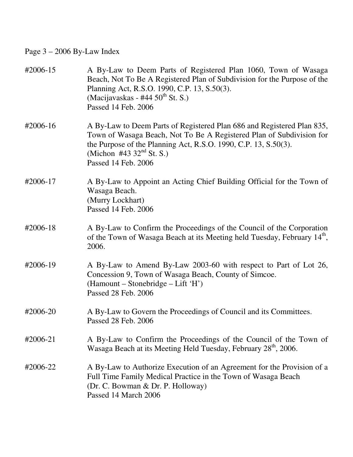Page 3 – 2006 By-Law Index

| #2006-15 | A By-Law to Deem Parts of Registered Plan 1060, Town of Wasaga<br>Beach, Not To Be A Registered Plan of Subdivision for the Purpose of the<br>Planning Act, R.S.O. 1990, C.P. 13, S.50(3).<br>(Macijavaskas - #44 $50^{\text{th}}$ St. S.)<br>Passed 14 Feb. 2006      |
|----------|------------------------------------------------------------------------------------------------------------------------------------------------------------------------------------------------------------------------------------------------------------------------|
| #2006-16 | A By-Law to Deem Parts of Registered Plan 686 and Registered Plan 835,<br>Town of Wasaga Beach, Not To Be A Registered Plan of Subdivision for<br>the Purpose of the Planning Act, R.S.O. 1990, C.P. 13, S.50(3).<br>(Michon #43 $32nd$ St. S.)<br>Passed 14 Feb. 2006 |
| #2006-17 | A By-Law to Appoint an Acting Chief Building Official for the Town of<br>Wasaga Beach.<br>(Murry Lockhart)<br>Passed 14 Feb. 2006                                                                                                                                      |
| #2006-18 | A By-Law to Confirm the Proceedings of the Council of the Corporation<br>of the Town of Wasaga Beach at its Meeting held Tuesday, February 14 <sup>th</sup> ,<br>2006.                                                                                                 |
| #2006-19 | A By-Law to Amend By-Law 2003-60 with respect to Part of Lot 26,<br>Concession 9, Town of Wasaga Beach, County of Simcoe.<br>(Hamount – Stonebridge – Lift 'H')<br>Passed 28 Feb. 2006                                                                                 |
| #2006-20 | A By-Law to Govern the Proceedings of Council and its Committees.<br>Passed 28 Feb. 2006                                                                                                                                                                               |
| #2006-21 | A By-Law to Confirm the Proceedings of the Council of the Town of<br>Wasaga Beach at its Meeting Held Tuesday, February 28 <sup>th</sup> , 2006.                                                                                                                       |
| #2006-22 | A By-Law to Authorize Execution of an Agreement for the Provision of a<br>Full Time Family Medical Practice in the Town of Wasaga Beach<br>(Dr. C. Bowman & Dr. P. Holloway)<br>Passed 14 March 2006                                                                   |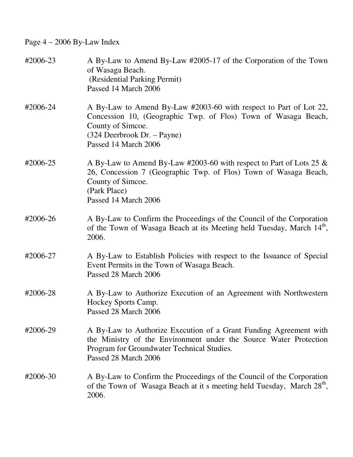Page 4 – 2006 By-Law Index

| #2006-23 | A By-Law to Amend By-Law #2005-17 of the Corporation of the Town<br>of Wasaga Beach.<br>(Residential Parking Permit)<br>Passed 14 March 2006                                                                    |
|----------|-----------------------------------------------------------------------------------------------------------------------------------------------------------------------------------------------------------------|
| #2006-24 | A By-Law to Amend By-Law #2003-60 with respect to Part of Lot 22,<br>Concession 10, (Geographic Twp. of Flos) Town of Wasaga Beach,<br>County of Simcoe.<br>(324 Deerbrook Dr. – Payne)<br>Passed 14 March 2006 |
| #2006-25 | A By-Law to Amend By-Law #2003-60 with respect to Part of Lots 25 $\&$<br>26, Concession 7 (Geographic Twp. of Flos) Town of Wasaga Beach,<br>County of Simcoe.<br>(Park Place)<br>Passed 14 March 2006         |
| #2006-26 | A By-Law to Confirm the Proceedings of the Council of the Corporation<br>of the Town of Wasaga Beach at its Meeting held Tuesday, March 14 <sup>th</sup> ,<br>2006.                                             |
| #2006-27 | A By-Law to Establish Policies with respect to the Issuance of Special<br>Event Permits in the Town of Wasaga Beach.<br>Passed 28 March 2006                                                                    |
| #2006-28 | A By-Law to Authorize Execution of an Agreement with Northwestern<br>Hockey Sports Camp.<br>Passed 28 March 2006                                                                                                |
| #2006-29 | A By-Law to Authorize Execution of a Grant Funding Agreement with<br>the Ministry of the Environment under the Source Water Protection<br>Program for Groundwater Technical Studies.<br>Passed 28 March 2006    |
| #2006-30 | A By-Law to Confirm the Proceedings of the Council of the Corporation<br>of the Town of Wasaga Beach at it s meeting held Tuesday, March 28 <sup>th</sup> ,<br>2006.                                            |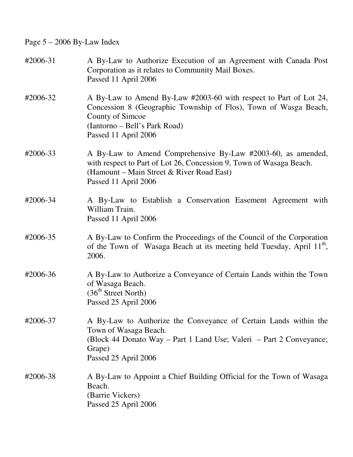Page 5 – 2006 By-Law Index

| #2006-31 | A By-Law to Authorize Execution of an Agreement with Canada Post<br>Corporation as it relates to Community Mail Boxes.<br>Passed 11 April 2006                                                                     |
|----------|--------------------------------------------------------------------------------------------------------------------------------------------------------------------------------------------------------------------|
| #2006-32 | A By-Law to Amend By-Law #2003-60 with respect to Part of Lot 24,<br>Concession 8 (Geographic Township of Flos), Town of Wasga Beach,<br>County of Simcoe<br>(Iantorno – Bell's Park Road)<br>Passed 11 April 2006 |
| #2006-33 | A By-Law to Amend Comprehensive By-Law #2003-60, as amended,<br>with respect to Part of Lot 26, Concession 9, Town of Wasaga Beach.<br>(Hamount – Main Street & River Road East)<br>Passed 11 April 2006           |
| #2006-34 | A By-Law to Establish a Conservation Easement Agreement with<br>William Train.<br>Passed 11 April 2006                                                                                                             |
| #2006-35 | A By-Law to Confirm the Proceedings of the Council of the Corporation<br>of the Town of Wasaga Beach at its meeting held Tuesday, April 11 <sup>th</sup> ,<br>2006.                                                |
| #2006-36 | A By-Law to Authorize a Conveyance of Certain Lands within the Town<br>of Wasaga Beach.<br>(36 <sup>th</sup> Street North)<br>Passed 25 April 2006                                                                 |
| #2006-37 | A By-Law to Authorize the Conveyance of Certain Lands within the<br>Town of Wasaga Beach.<br>(Block 44 Donato Way – Part 1 Land Use; Valeri – Part 2 Conveyance;<br>Grape)<br>Passed 25 April 2006                 |
| #2006-38 | A By-Law to Appoint a Chief Building Official for the Town of Wasaga<br>Beach.<br>(Barrie Vickers)<br>Passed 25 April 2006                                                                                         |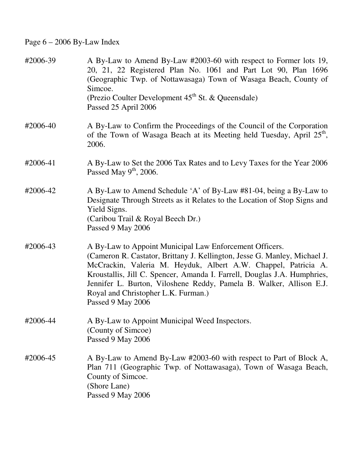Page 6 – 2006 By-Law Index

| #2006-39 | A By-Law to Amend By-Law #2003-60 with respect to Former lots 19,<br>20, 21, 22 Registered Plan No. 1061 and Part Lot 90, Plan 1696<br>(Geographic Twp. of Nottawasaga) Town of Wasaga Beach, County of<br>Simcoe.<br>(Prezio Coulter Development 45 <sup>th</sup> St. & Queensdale)<br>Passed 25 April 2006                                                                                                          |
|----------|-----------------------------------------------------------------------------------------------------------------------------------------------------------------------------------------------------------------------------------------------------------------------------------------------------------------------------------------------------------------------------------------------------------------------|
| #2006-40 | A By-Law to Confirm the Proceedings of the Council of the Corporation<br>of the Town of Wasaga Beach at its Meeting held Tuesday, April 25 <sup>th</sup> ,<br>2006.                                                                                                                                                                                                                                                   |
| #2006-41 | A By-Law to Set the 2006 Tax Rates and to Levy Taxes for the Year 2006<br>Passed May $9th$ , 2006.                                                                                                                                                                                                                                                                                                                    |
| #2006-42 | A By-Law to Amend Schedule 'A' of By-Law #81-04, being a By-Law to<br>Designate Through Streets as it Relates to the Location of Stop Signs and<br>Yield Signs.<br>(Caribou Trail & Royal Beech Dr.)<br>Passed 9 May 2006                                                                                                                                                                                             |
| #2006-43 | A By-Law to Appoint Municipal Law Enforcement Officers.<br>(Cameron R. Castator, Brittany J. Kellington, Jesse G. Manley, Michael J.<br>McCrackin, Valeria M. Heyduk, Albert A.W. Chappel, Patricia A.<br>Kroustallis, Jill C. Spencer, Amanda I. Farrell, Douglas J.A. Humphries,<br>Jennifer L. Burton, Viloshene Reddy, Pamela B. Walker, Allison E.J.<br>Royal and Christopher L.K. Furman.)<br>Passed 9 May 2006 |
| #2006-44 | A By-Law to Appoint Municipal Weed Inspectors.<br>(County of Simcoe)<br>Passed 9 May 2006                                                                                                                                                                                                                                                                                                                             |
| #2006-45 | A By-Law to Amend By-Law #2003-60 with respect to Part of Block A,<br>Plan 711 (Geographic Twp. of Nottawasaga), Town of Wasaga Beach,<br>County of Simcoe.<br>(Shore Lane)<br>Passed 9 May 2006                                                                                                                                                                                                                      |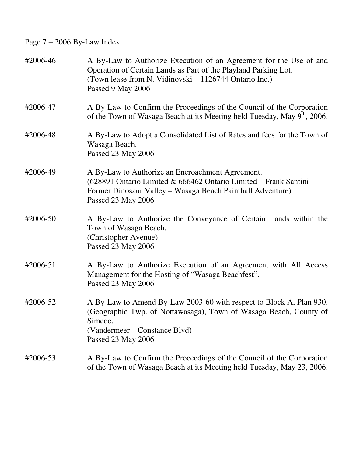Page 7 – 2006 By-Law Index

| #2006-46 | A By-Law to Authorize Execution of an Agreement for the Use of and<br>Operation of Certain Lands as Part of the Playland Parking Lot.<br>(Town lease from N. Vidinovski – 1126744 Ontario Inc.)<br>Passed 9 May 2006 |
|----------|----------------------------------------------------------------------------------------------------------------------------------------------------------------------------------------------------------------------|
| #2006-47 | A By-Law to Confirm the Proceedings of the Council of the Corporation<br>of the Town of Wasaga Beach at its Meeting held Tuesday, May 9 <sup>th</sup> , 2006.                                                        |
| #2006-48 | A By-Law to Adopt a Consolidated List of Rates and fees for the Town of<br>Wasaga Beach.<br>Passed 23 May 2006                                                                                                       |
| #2006-49 | A By-Law to Authorize an Encroachment Agreement.<br>(628891 Ontario Limited & 666462 Ontario Limited - Frank Santini<br>Former Dinosaur Valley - Wasaga Beach Paintball Adventure)<br>Passed 23 May 2006             |
| #2006-50 | A By-Law to Authorize the Conveyance of Certain Lands within the<br>Town of Wasaga Beach.<br>(Christopher Avenue)<br>Passed 23 May 2006                                                                              |
| #2006-51 | A By-Law to Authorize Execution of an Agreement with All Access<br>Management for the Hosting of "Wasaga Beachfest".<br>Passed 23 May 2006                                                                           |
| #2006-52 | A By-Law to Amend By-Law 2003-60 with respect to Block A, Plan 930,<br>(Geographic Twp. of Nottawasaga), Town of Wasaga Beach, County of<br>Simcoe.<br>(Vandermeer – Constance Blvd)<br>Passed 23 May 2006           |
| #2006-53 | A By-Law to Confirm the Proceedings of the Council of the Corporation<br>of the Town of Wasaga Beach at its Meeting held Tuesday, May 23, 2006.                                                                      |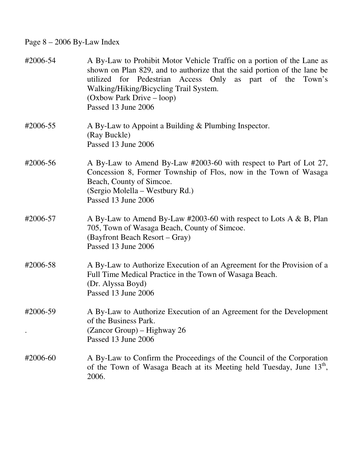## Page 8 – 2006 By-Law Index

| #2006-54 | A By-Law to Prohibit Motor Vehicle Traffic on a portion of the Lane as<br>shown on Plan 829, and to authorize that the said portion of the lane be<br>utilized for Pedestrian Access Only as part of the Town's<br>Walking/Hiking/Bicycling Trail System.<br>(Oxbow Park Drive – loop)<br>Passed 13 June 2006 |
|----------|---------------------------------------------------------------------------------------------------------------------------------------------------------------------------------------------------------------------------------------------------------------------------------------------------------------|
| #2006-55 | A By-Law to Appoint a Building $&$ Plumbing Inspector.<br>(Ray Buckle)<br>Passed 13 June 2006                                                                                                                                                                                                                 |
| #2006-56 | A By-Law to Amend By-Law #2003-60 with respect to Part of Lot 27,<br>Concession 8, Former Township of Flos, now in the Town of Wasaga<br>Beach, County of Simcoe.<br>(Sergio Molella – Westbury Rd.)<br>Passed 13 June 2006                                                                                   |
| #2006-57 | A By-Law to Amend By-Law #2003-60 with respect to Lots A & B, Plan<br>705, Town of Wasaga Beach, County of Simcoe.<br>(Bayfront Beach Resort – Gray)<br>Passed 13 June 2006                                                                                                                                   |
| #2006-58 | A By-Law to Authorize Execution of an Agreement for the Provision of a<br>Full Time Medical Practice in the Town of Wasaga Beach.<br>(Dr. Alyssa Boyd)<br>Passed 13 June 2006                                                                                                                                 |
| #2006-59 | A By-Law to Authorize Execution of an Agreement for the Development<br>of the Business Park.<br>(Zancor Group) – Highway 26<br>Passed 13 June 2006                                                                                                                                                            |
| #2006-60 | A By-Law to Confirm the Proceedings of the Council of the Corporation<br>of the Town of Wasaga Beach at its Meeting held Tuesday, June 13 <sup>th</sup> ,<br>2006.                                                                                                                                            |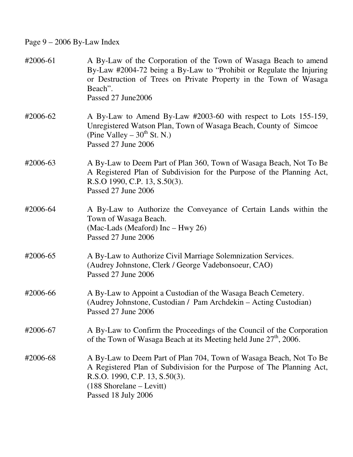Page 9 – 2006 By-Law Index

| #2006-61 | A By-Law of the Corporation of the Town of Wasaga Beach to amend<br>By-Law #2004-72 being a By-Law to "Prohibit or Regulate the Injuring<br>or Destruction of Trees on Private Property in the Town of Wasaga<br>Beach".<br>Passed 27 June 2006 |
|----------|-------------------------------------------------------------------------------------------------------------------------------------------------------------------------------------------------------------------------------------------------|
| #2006-62 | A By-Law to Amend By-Law #2003-60 with respect to Lots 155-159,<br>Unregistered Watson Plan, Town of Wasaga Beach, County of Simcoe<br>(Pine Valley – $30^{th}$ St. N.)<br>Passed 27 June 2006                                                  |
| #2006-63 | A By-Law to Deem Part of Plan 360, Town of Wasaga Beach, Not To Be<br>A Registered Plan of Subdivision for the Purpose of the Planning Act,<br>R.S.O 1990, C.P. 13, S.50(3).<br>Passed 27 June 2006                                             |
| #2006-64 | A By-Law to Authorize the Conveyance of Certain Lands within the<br>Town of Wasaga Beach.<br>(Mac-Lads (Meaford) Inc – Hwy 26)<br>Passed 27 June 2006                                                                                           |
| #2006-65 | A By-Law to Authorize Civil Marriage Solemnization Services.<br>(Audrey Johnstone, Clerk / George Vadebonsoeur, CAO)<br>Passed 27 June 2006                                                                                                     |
| #2006-66 | A By-Law to Appoint a Custodian of the Wasaga Beach Cemetery.<br>(Audrey Johnstone, Custodian / Pam Archdekin - Acting Custodian)<br>Passed 27 June 2006                                                                                        |
| #2006-67 | A By-Law to Confirm the Proceedings of the Council of the Corporation<br>of the Town of Wasaga Beach at its Meeting held June 27 <sup>th</sup> , 2006.                                                                                          |
| #2006-68 | A By-Law to Deem Part of Plan 704, Town of Wasaga Beach, Not To Be<br>A Registered Plan of Subdivision for the Purpose of The Planning Act,<br>R.S.O. 1990, C.P. 13, S.50(3).<br>$(188$ Shorelane – Levitt)<br>Passed 18 July 2006              |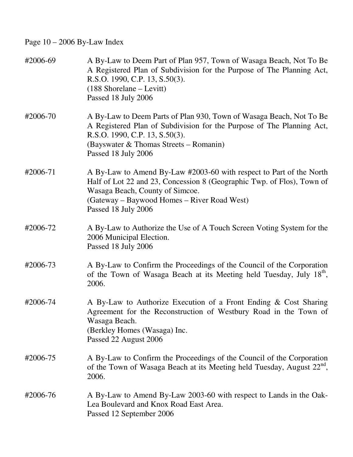Page 10 – 2006 By-Law Index

| #2006-69 | A By-Law to Deem Part of Plan 957, Town of Wasaga Beach, Not To Be<br>A Registered Plan of Subdivision for the Purpose of The Planning Act,<br>R.S.O. 1990, C.P. 13, S.50(3).<br>(188 Shorelane - Levitt)<br>Passed 18 July 2006                       |
|----------|--------------------------------------------------------------------------------------------------------------------------------------------------------------------------------------------------------------------------------------------------------|
| #2006-70 | A By-Law to Deem Parts of Plan 930, Town of Wasaga Beach, Not To Be<br>A Registered Plan of Subdivision for the Purpose of The Planning Act,<br>R.S.O. 1990, C.P. 13, S.50(3).<br>(Bayswater & Thomas Streets – Romanin)<br>Passed 18 July 2006        |
| #2006-71 | A By-Law to Amend By-Law #2003-60 with respect to Part of the North<br>Half of Lot 22 and 23, Concession 8 (Geographic Twp. of Flos), Town of<br>Wasaga Beach, County of Simcoe.<br>(Gateway – Baywood Homes – River Road West)<br>Passed 18 July 2006 |
| #2006-72 | A By-Law to Authorize the Use of A Touch Screen Voting System for the<br>2006 Municipal Election.<br>Passed 18 July 2006                                                                                                                               |
| #2006-73 | A By-Law to Confirm the Proceedings of the Council of the Corporation<br>of the Town of Wasaga Beach at its Meeting held Tuesday, July 18 <sup>th</sup> ,<br>2006.                                                                                     |
| #2006-74 | A By-Law to Authorize Execution of a Front Ending & Cost Sharing<br>Agreement for the Reconstruction of Westbury Road in the Town of<br>Wasaga Beach.<br>(Berkley Homes (Wasaga) Inc.<br>Passed 22 August 2006                                         |
| #2006-75 | A By-Law to Confirm the Proceedings of the Council of the Corporation<br>of the Town of Wasaga Beach at its Meeting held Tuesday, August 22 <sup>nd</sup> ,<br>2006.                                                                                   |
| #2006-76 | A By-Law to Amend By-Law 2003-60 with respect to Lands in the Oak-<br>Lea Boulevard and Knox Road East Area.<br>Passed 12 September 2006                                                                                                               |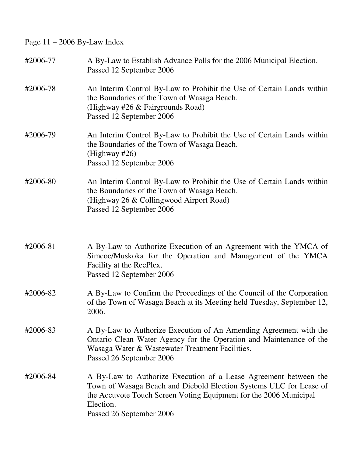Page 11 – 2006 By-Law Index

| #2006-77 | A By-Law to Establish Advance Polls for the 2006 Municipal Election.<br>Passed 12 September 2006                                                                                                                                                     |
|----------|------------------------------------------------------------------------------------------------------------------------------------------------------------------------------------------------------------------------------------------------------|
| #2006-78 | An Interim Control By-Law to Prohibit the Use of Certain Lands within<br>the Boundaries of the Town of Wasaga Beach.<br>(Highway #26 & Fairgrounds Road)<br>Passed 12 September 2006                                                                 |
| #2006-79 | An Interim Control By-Law to Prohibit the Use of Certain Lands within<br>the Boundaries of the Town of Wasaga Beach.<br>(Highway $#26$ )<br>Passed 12 September 2006                                                                                 |
| #2006-80 | An Interim Control By-Law to Prohibit the Use of Certain Lands within<br>the Boundaries of the Town of Wasaga Beach.<br>(Highway 26 & Collingwood Airport Road)<br>Passed 12 September 2006                                                          |
| #2006-81 | A By-Law to Authorize Execution of an Agreement with the YMCA of<br>Simcoe/Muskoka for the Operation and Management of the YMCA<br>Facility at the RecPlex.<br>Passed 12 September 2006                                                              |
| #2006-82 | A By-Law to Confirm the Proceedings of the Council of the Corporation<br>of the Town of Wasaga Beach at its Meeting held Tuesday, September 12,<br>2006.                                                                                             |
| #2006-83 | A By-Law to Authorize Execution of An Amending Agreement with the<br>Ontario Clean Water Agency for the Operation and Maintenance of the<br>Wasaga Water & Wastewater Treatment Facilities.<br>Passed 26 September 2006                              |
| #2006-84 | A By-Law to Authorize Execution of a Lease Agreement between the<br>Town of Wasaga Beach and Diebold Election Systems ULC for Lease of<br>the Accuvote Touch Screen Voting Equipment for the 2006 Municipal<br>Election.<br>Passed 26 September 2006 |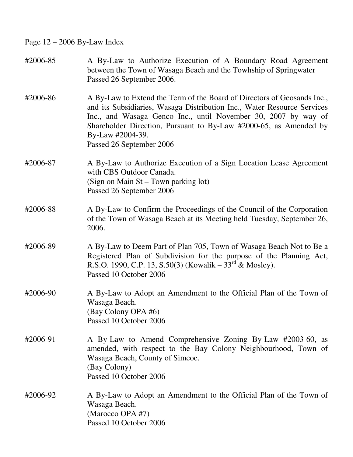Page 12 – 2006 By-Law Index

| #2006-85 | A By-Law to Authorize Execution of A Boundary Road Agreement<br>between the Town of Wasaga Beach and the Towhship of Springwater<br>Passed 26 September 2006.                                                                                                                                                                             |
|----------|-------------------------------------------------------------------------------------------------------------------------------------------------------------------------------------------------------------------------------------------------------------------------------------------------------------------------------------------|
| #2006-86 | A By-Law to Extend the Term of the Board of Directors of Geosands Inc.,<br>and its Subsidiaries, Wasaga Distribution Inc., Water Resource Services<br>Inc., and Wasaga Genco Inc., until November 30, 2007 by way of<br>Shareholder Direction, Pursuant to By-Law #2000-65, as Amended by<br>By-Law #2004-39.<br>Passed 26 September 2006 |
| #2006-87 | A By-Law to Authorize Execution of a Sign Location Lease Agreement<br>with CBS Outdoor Canada.<br>(Sign on Main St – Town parking lot)<br>Passed 26 September 2006                                                                                                                                                                        |
| #2006-88 | A By-Law to Confirm the Proceedings of the Council of the Corporation<br>of the Town of Wasaga Beach at its Meeting held Tuesday, September 26,<br>2006.                                                                                                                                                                                  |
| #2006-89 | A By-Law to Deem Part of Plan 705, Town of Wasaga Beach Not to Be a<br>Registered Plan of Subdivision for the purpose of the Planning Act,<br>R.S.O. 1990, C.P. 13, S.50(3) (Kowalik – $33^{\text{rd}}$ & Mosley).<br>Passed 10 October 2006                                                                                              |
| #2006-90 | A By-Law to Adopt an Amendment to the Official Plan of the Town of<br>Wasaga Beach.<br>(Bay Colony OPA #6)<br>Passed 10 October 2006                                                                                                                                                                                                      |
| #2006-91 | A By-Law to Amend Comprehensive Zoning By-Law #2003-60, as<br>amended, with respect to the Bay Colony Neighbourhood, Town of<br>Wasaga Beach, County of Simcoe.<br>(Bay Colony)<br>Passed 10 October 2006                                                                                                                                 |
| #2006-92 | A By-Law to Adopt an Amendment to the Official Plan of the Town of<br>Wasaga Beach.<br>(Marocco OPA #7)<br>Passed 10 October 2006                                                                                                                                                                                                         |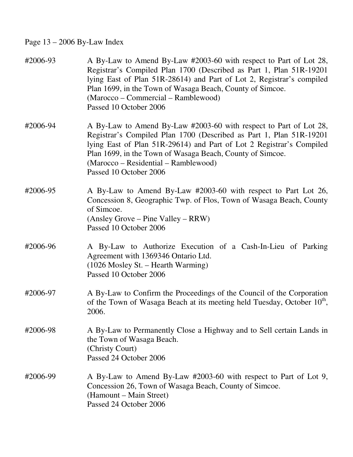## Page 13 – 2006 By-Law Index

| #2006-93 | A By-Law to Amend By-Law #2003-60 with respect to Part of Lot 28,<br>Registrar's Compiled Plan 1700 (Described as Part 1, Plan 51R-19201)<br>lying East of Plan 51R-28614) and Part of Lot 2, Registrar's compiled<br>Plan 1699, in the Town of Wasaga Beach, County of Simcoe.<br>(Marocco – Commercial – Ramblewood)<br>Passed 10 October 2006 |
|----------|--------------------------------------------------------------------------------------------------------------------------------------------------------------------------------------------------------------------------------------------------------------------------------------------------------------------------------------------------|
| #2006-94 | A By-Law to Amend By-Law #2003-60 with respect to Part of Lot 28,<br>Registrar's Compiled Plan 1700 (Described as Part 1, Plan 51R-19201)<br>lying East of Plan 51R-29614) and Part of Lot 2 Registrar's Compiled<br>Plan 1699, in the Town of Wasaga Beach, County of Simcoe.<br>(Marocco – Residential – Ramblewood)<br>Passed 10 October 2006 |
| #2006-95 | A By-Law to Amend By-Law #2003-60 with respect to Part Lot 26,<br>Concession 8, Geographic Twp. of Flos, Town of Wasaga Beach, County<br>of Simcoe.<br>(Ansley Grove – Pine Valley – RRW)<br>Passed 10 October 2006                                                                                                                              |
| #2006-96 | A By-Law to Authorize Execution of a Cash-In-Lieu of Parking<br>Agreement with 1369346 Ontario Ltd.<br>$(1026$ Mosley St. – Hearth Warming)<br>Passed 10 October 2006                                                                                                                                                                            |
| #2006-97 | A By-Law to Confirm the Proceedings of the Council of the Corporation<br>of the Town of Wasaga Beach at its meeting held Tuesday, October 10 <sup>th</sup> ,<br>2006.                                                                                                                                                                            |
| #2006-98 | A By-Law to Permanently Close a Highway and to Sell certain Lands in<br>the Town of Wasaga Beach.<br>(Christy Court)<br>Passed 24 October 2006                                                                                                                                                                                                   |
| #2006-99 | A By-Law to Amend By-Law #2003-60 with respect to Part of Lot 9,<br>Concession 26, Town of Wasaga Beach, County of Simcoe.<br>(Hamount – Main Street)<br>Passed 24 October 2006                                                                                                                                                                  |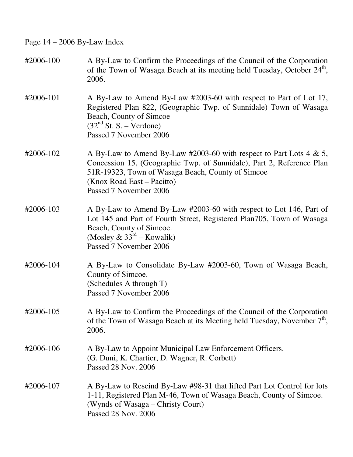Page 14 – 2006 By-Law Index

| #2006-100 | A By-Law to Confirm the Proceedings of the Council of the Corporation<br>of the Town of Wasaga Beach at its meeting held Tuesday, October 24 <sup>th</sup> ,<br>2006.                                                                                    |
|-----------|----------------------------------------------------------------------------------------------------------------------------------------------------------------------------------------------------------------------------------------------------------|
| #2006-101 | A By-Law to Amend By-Law #2003-60 with respect to Part of Lot 17,<br>Registered Plan 822, (Geographic Twp. of Sunnidale) Town of Wasaga<br>Beach, County of Simcoe<br>$(32nd St. S. - Verdone)$<br>Passed 7 November 2006                                |
| #2006-102 | A By-Law to Amend By-Law #2003-60 with respect to Part Lots 4 & 5,<br>Concession 15, (Geographic Twp. of Sunnidale), Part 2, Reference Plan<br>51R-19323, Town of Wasaga Beach, County of Simcoe<br>(Knox Road East - Pacitto)<br>Passed 7 November 2006 |
| #2006-103 | A By-Law to Amend By-Law #2003-60 with respect to Lot 146, Part of<br>Lot 145 and Part of Fourth Street, Registered Plan705, Town of Wasaga<br>Beach, County of Simcoe.<br>(Mosley & $33rd$ – Kowalik)<br>Passed 7 November 2006                         |
| #2006-104 | A By-Law to Consolidate By-Law #2003-60, Town of Wasaga Beach,<br>County of Simcoe.<br>(Schedules A through T)<br>Passed 7 November 2006                                                                                                                 |
| #2006-105 | A By-Law to Confirm the Proceedings of the Council of the Corporation<br>of the Town of Wasaga Beach at its Meeting held Tuesday, November $7th$ ,<br>2006.                                                                                              |
| #2006-106 | A By-Law to Appoint Municipal Law Enforcement Officers.<br>(G. Duni, K. Chartier, D. Wagner, R. Corbett)<br>Passed 28 Nov. 2006                                                                                                                          |
| #2006-107 | A By-Law to Rescind By-Law #98-31 that lifted Part Lot Control for lots<br>1-11, Registered Plan M-46, Town of Wasaga Beach, County of Simcoe.<br>(Wynds of Wasaga - Christy Court)<br>Passed 28 Nov. 2006                                               |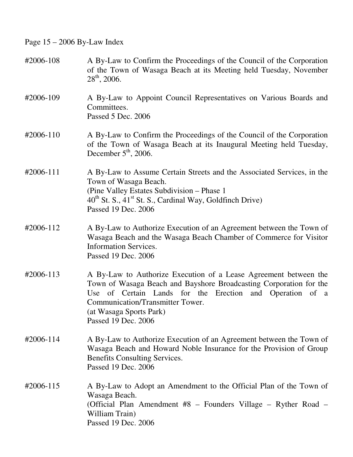Page 15 – 2006 By-Law Index

| #2006-108 | A By-Law to Confirm the Proceedings of the Council of the Corporation<br>of the Town of Wasaga Beach at its Meeting held Tuesday, November<br>$28^{th}$ , 2006.                                                                                                                             |
|-----------|---------------------------------------------------------------------------------------------------------------------------------------------------------------------------------------------------------------------------------------------------------------------------------------------|
| #2006-109 | A By-Law to Appoint Council Representatives on Various Boards and<br>Committees.<br>Passed 5 Dec. 2006                                                                                                                                                                                      |
| #2006-110 | A By-Law to Confirm the Proceedings of the Council of the Corporation<br>of the Town of Wasaga Beach at its Inaugural Meeting held Tuesday,<br>December $5th$ , 2006.                                                                                                                       |
| #2006-111 | A By-Law to Assume Certain Streets and the Associated Services, in the<br>Town of Wasaga Beach.<br>(Pine Valley Estates Subdivision – Phase 1)<br>$40^{th}$ St. S., $41^{st}$ St. S., Cardinal Way, Goldfinch Drive)<br>Passed 19 Dec. 2006                                                 |
| #2006-112 | A By-Law to Authorize Execution of an Agreement between the Town of<br>Wasaga Beach and the Wasaga Beach Chamber of Commerce for Visitor<br><b>Information Services.</b><br>Passed 19 Dec. 2006                                                                                             |
| #2006-113 | A By-Law to Authorize Execution of a Lease Agreement between the<br>Town of Wasaga Beach and Bayshore Broadcasting Corporation for the<br>of Certain Lands for the Erection and Operation of a<br>Use<br>Communication/Transmitter Tower.<br>(at Wasaga Sports Park)<br>Passed 19 Dec. 2006 |
| #2006-114 | A By-Law to Authorize Execution of an Agreement between the Town of<br>Wasaga Beach and Howard Noble Insurance for the Provision of Group<br>Benefits Consulting Services.<br>Passed 19 Dec. 2006                                                                                           |
| #2006-115 | A By-Law to Adopt an Amendment to the Official Plan of the Town of<br>Wasaga Beach.<br>(Official Plan Amendment #8 – Founders Village – Ryther Road –<br>William Train)<br>Passed 19 Dec. 2006                                                                                              |